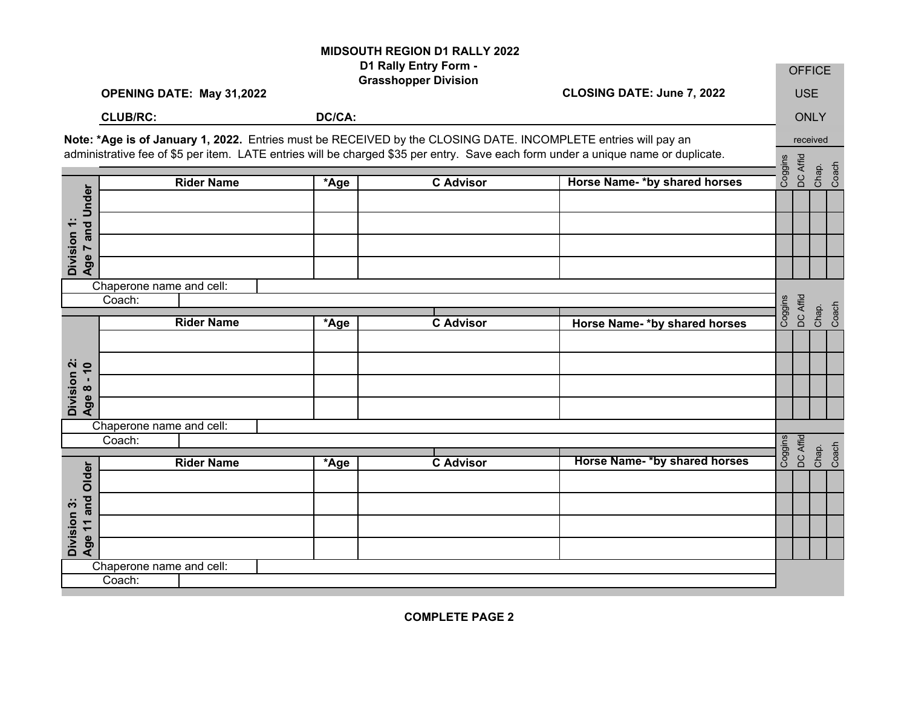## **MIDSOUTH REGION D1 RALLY 2022 D1 Rally Entry Form -**

|                                |                                                                                                                                                                                                                                                     |        | D1 Rally Entry Form -<br><b>Grasshopper Division</b> |                                     |         | <b>OFFICE</b> |                |       |
|--------------------------------|-----------------------------------------------------------------------------------------------------------------------------------------------------------------------------------------------------------------------------------------------------|--------|------------------------------------------------------|-------------------------------------|---------|---------------|----------------|-------|
|                                | OPENING DATE: May 31,2022                                                                                                                                                                                                                           |        | CLOSING DATE: June 7, 2022                           |                                     |         | <b>USE</b>    |                |       |
|                                | <b>CLUB/RC:</b>                                                                                                                                                                                                                                     | DC/CA: |                                                      |                                     |         | <b>ONLY</b>   |                |       |
|                                | Note: *Age is of January 1, 2022. Entries must be RECEIVED by the CLOSING DATE. INCOMPLETE entries will pay an<br>administrative fee of \$5 per item. LATE entries will be charged \$35 per entry. Save each form under a unique name or duplicate. |        |                                                      |                                     |         |               |                |       |
|                                | <b>Rider Name</b>                                                                                                                                                                                                                                   | *Age   | <b>C</b> Advisor                                     | Horse Name-*by shared horses        | Coggins | DC Affid      | Chap.          | Coach |
|                                |                                                                                                                                                                                                                                                     |        |                                                      |                                     |         |               |                |       |
|                                |                                                                                                                                                                                                                                                     |        |                                                      |                                     |         |               |                |       |
| Age 7 and Under<br>Division 1: |                                                                                                                                                                                                                                                     |        |                                                      |                                     |         |               |                |       |
|                                |                                                                                                                                                                                                                                                     |        |                                                      |                                     |         |               |                |       |
| Chaperone name and cell:       |                                                                                                                                                                                                                                                     |        |                                                      |                                     |         |               |                |       |
|                                | Coach:                                                                                                                                                                                                                                              |        |                                                      |                                     | Coggins | DC Affid      | Chap.<br>Coach |       |
|                                | <b>Rider Name</b>                                                                                                                                                                                                                                   | *Age   | <b>C</b> Advisor                                     | <b>Horse Name-*by shared horses</b> |         |               |                |       |
|                                |                                                                                                                                                                                                                                                     |        |                                                      |                                     |         |               |                |       |
| Division 2:<br>Age 8 - 10      |                                                                                                                                                                                                                                                     |        |                                                      |                                     |         |               |                |       |
|                                |                                                                                                                                                                                                                                                     |        |                                                      |                                     |         |               |                |       |
|                                |                                                                                                                                                                                                                                                     |        |                                                      |                                     |         |               |                |       |
|                                | Chaperone name and cell:<br>Coach:                                                                                                                                                                                                                  |        |                                                      |                                     |         |               |                |       |
|                                | <b>Rider Name</b>                                                                                                                                                                                                                                   | *Age   | <b>C</b> Advisor                                     | Horse Name-*by shared horses        | Coggins | DC Affid      | Chap.<br>Coach |       |
| Older                          |                                                                                                                                                                                                                                                     |        |                                                      |                                     |         |               |                |       |
|                                |                                                                                                                                                                                                                                                     |        |                                                      |                                     |         |               |                |       |
|                                |                                                                                                                                                                                                                                                     |        |                                                      |                                     |         |               |                |       |
| Age 11 and<br>Division 3:      |                                                                                                                                                                                                                                                     |        |                                                      |                                     |         |               |                |       |
|                                | Chaperone name and cell:                                                                                                                                                                                                                            |        |                                                      |                                     |         |               |                |       |
| Coach:                         |                                                                                                                                                                                                                                                     |        |                                                      |                                     |         |               |                |       |